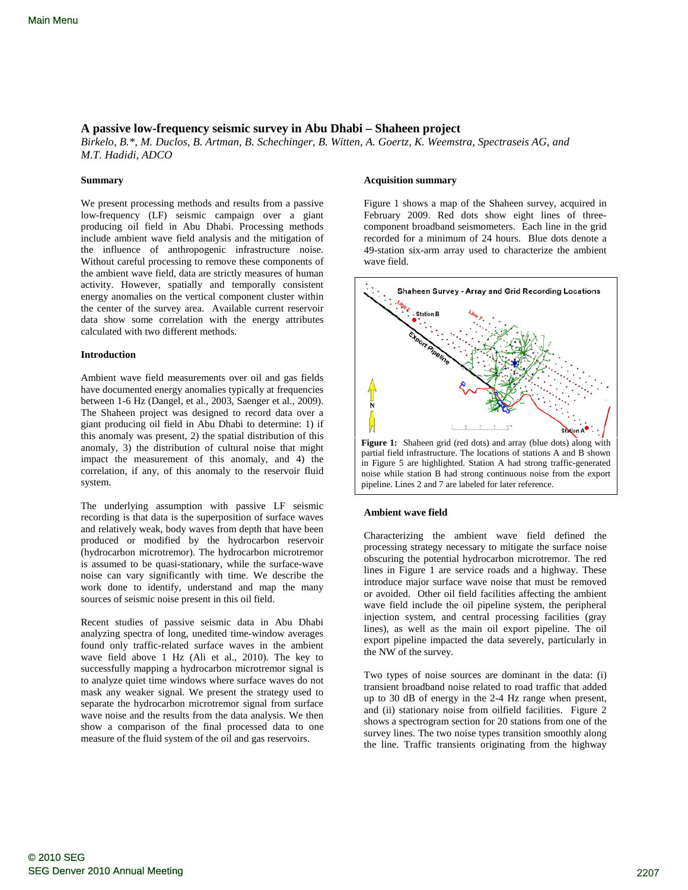# <span id="page-0-0"></span>**A passive low-frequency seismic survey in Abu Dhabi – Shaheen project**

*Birkelo, B.\*, M. Duclos, B. Artman, B. Schechinger, B. Witten, A. Goertz, K. Weemstra, Spectraseis AG, and M.T. Hadidi, ADCO*

# **Summary**

We present processing methods and results from a passive low-frequency (LF) seismic campaign over a giant producing oil field in Abu Dhabi. Processing methods include ambient wave field analysis and the mitigation of the influence of anthropogenic infrastructure noise. Without careful processing to remove these components of the ambient wave field, data are strictly measures of human activity. However, spatially and temporally consistent energy anomalies on the vertical component cluster within the center of the survey area. Available current reservoir data show some correlation with the energy attributes calculated with two different methods.

## **Introduction**

Ambient wave field measurements over oil and gas fields have documented energy anomalies typically at frequencies between 1-6 Hz (Dangel, et al., 2003, Saenger et al., 2009). The Shaheen project was designed to record data over a giant producing oil field in Abu Dhabi to determine: 1) if this anomaly was present, 2) the spatial distribution of this anomaly, 3) the distribution of cultural noise that might impact the measurement of this anomaly, and 4) the correlation, if any, of this anomaly to the reservoir fluid system.

The underlying assumption with passive LF seismic recording is that data is the superposition of surface waves and relatively weak, body waves from depth that have been produced or modified by the hydrocarbon reservoir (hydrocarbon microtremor). The hydrocarbon microtremor is assumed to be quasi-stationary, while the surface-wave noise can vary significantly with time. We describe the work done to identify, understand and map the many sources of seismic noise present in this oil field.

Recent studies of passive seismic data in Abu Dhabi analyzing spectra of long, unedited time-window averages found only traffic-related surface waves in the ambient wave field above 1 Hz (Ali et al., 2010). The key to successfully mapping a hydrocarbon microtremor signal is to analyze quiet time windows where surface waves do not mask any weaker signal. We present the strategy used to separate the hydrocarbon microtremor signal from surface wave noise and the results from the data analysis. We then show a comparison of the final processed data to one measure of the fluid system of the oil and gas reservoirs.

### **Acquisition summary**

Figure 1 shows a map of the Shaheen survey, acquired in February 2009. Red dots show eight lines of threecomponent broadband seismometers. Each line in the grid recorded for a minimum of 24 hours. Blue dots denote a 49-station six-arm array used to characterize the ambient wave field.



#### **Ambient wave field**

Characterizing the ambient wave field defined the processing strategy necessary to mitigate the surface noise obscuring the potential hydrocarbon microtremor. The red lines in Figure 1 are service roads and a highway. These introduce major surface wave noise that must be removed or avoided. Other oil field facilities affecting the ambient wave field include the oil pipeline system, the peripheral injection system, and central processing facilities (gray lines), as well as the main oil export pipeline. The oil export pipeline impacted the data severely, particularly in the NW of the survey.

Two types of noise sources are dominant in the data: (i) transient broadband noise related to road traffic that added up to 30 dB of energy in the 2-4 Hz range when present, and (ii) stationary noise from oilfield facilities. Figure 2 shows a spectrogram section for 20 stations from one of the survey lines. The two noise types transition smoothly along the line. Traffic transients originating from the highway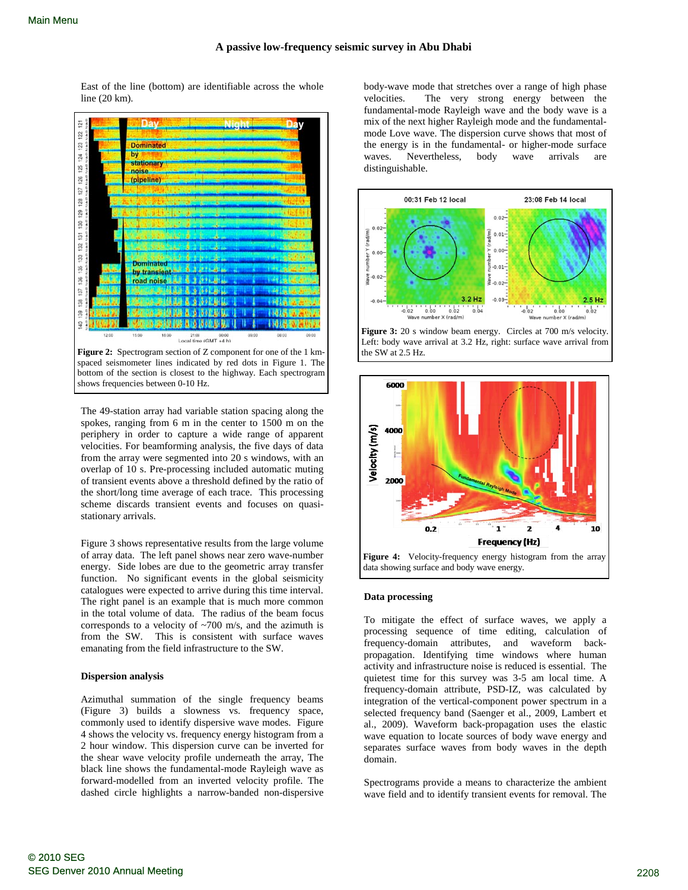East of the line (bottom) are identifiable across the whole line (20 km).



The 49-station array had variable station spacing along the spokes, ranging from 6 m in the center to 1500 m on the periphery in order to capture a wide range of apparent velocities. For beamforming analysis, the five days of data from the array were segmented into 20 s windows, with an overlap of 10 s. Pre-processing included automatic muting of transient events above a threshold defined by the ratio of the short/long time average of each trace. This processing scheme discards transient events and focuses on quasistationary arrivals.

Figure 3 shows representative results from the large volume of array data. The left panel shows near zero wave-number energy. Side lobes are due to the geometric array transfer function. No significant events in the global seismicity catalogues were expected to arrive during this time interval. The right panel is an example that is much more common in the total volume of data. The radius of the beam focus corresponds to a velocity of ~700 m/s, and the azimuth is from the SW. This is consistent with surface waves emanating from the field infrastructure to the SW.

## **Dispersion analysis**

Azimuthal summation of the single frequency beams (Figure 3) builds a slowness vs. frequency space, commonly used to identify dispersive wave modes. Figure 4 shows the velocity vs. frequency energy histogram from a 2 hour window. This dispersion curve can be inverted for the shear wave velocity profile underneath the array, The black line shows the fundamental-mode Rayleigh wave as forward-modelled from an inverted velocity profile. The dashed circle highlights a narrow-banded non-dispersive body-wave mode that stretches over a range of high phase velocities. The very strong energy between the fundamental-mode Rayleigh wave and the body wave is a mix of the next higher Rayleigh mode and the fundamentalmode Love wave. The dispersion curve shows that most of the energy is in the fundamental- or higher-mode surface waves. Nevertheless, body wave arrivals are distinguishable.



Figure 3: 20 s window beam energy. Circles at 700 m/s velocity. Left: body wave arrival at 3.2 Hz, right: surface wave arrival from the SW at 2.5 Hz.



data showing surface and body wave energy.

# **Data processing**

To mitigate the effect of surface waves, we apply a processing sequence of time editing, calculation of frequency-domain attributes, and waveform backpropagation. Identifying time windows where human activity and infrastructure noise is reduced is essential. The quietest time for this survey was 3-5 am local time. A frequency-domain attribute, PSD-IZ, was calculated by integration of the vertical-component power spectrum in a selected frequency band (Saenger et al., 2009, Lambert et al., 2009). Waveform back-propagation uses the elastic wave equation to locate sources of body wave energy and separates surface waves from body waves in the depth domain.

Spectrograms provide a means to characterize the ambient wave field and to identify transient events for removal. The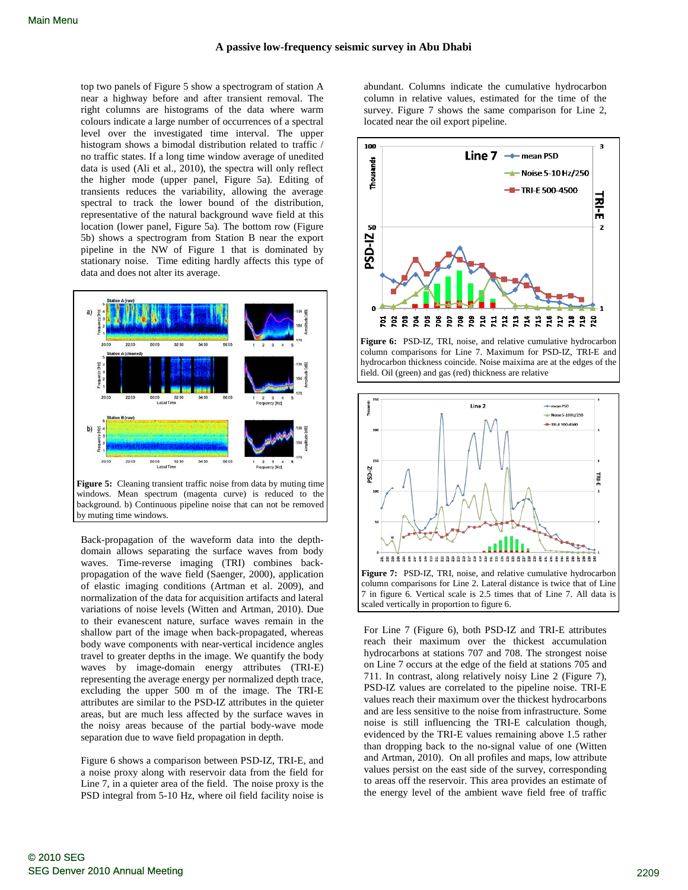top two panels of Figure 5 show a spectrogram of station A near a highway before and after transient removal. The right columns are histograms of the data where warm colours indicate a large number of occurrences of a spectral level over the investigated time interval. The upper histogram shows a bimodal distribution related to traffic / no traffic states. If a long time window average of unedited data is used (Ali et al., 2010), the spectra will only reflect the higher mode (upper panel, Figure 5a). Editing of transients reduces the variability, allowing the average spectral to track the lower bound of the distribution, representative of the natural background wave field at this location (lower panel, Figure 5a). The bottom row (Figure 5b) shows a spectrogram from Station B near the export pipeline in the NW of Figure 1 that is dominated by stationary noise. Time editing hardly affects this type of data and does not alter its average.



Back-propagation of the waveform data into the depthdomain allows separating the surface waves from body waves. Time-reverse imaging (TRI) combines backpropagation of the wave field (Saenger, 2000), application of elastic imaging conditions (Artman et al. 2009), and normalization of the data for acquisition artifacts and lateral variations of noise levels (Witten and Artman, 2010). Due to their evanescent nature, surface waves remain in the shallow part of the image when back-propagated, whereas body wave components with near-vertical incidence angles travel to greater depths in the image. We quantify the body waves by image-domain energy attributes (TRI-E) representing the average energy per normalized depth trace, excluding the upper 500 m of the image. The TRI-E attributes are similar to the PSD-IZ attributes in the quieter areas, but are much less affected by the surface waves in the noisy areas because of the partial body-wave mode separation due to wave field propagation in depth.

Figure 6 shows a comparison between PSD-IZ, TRI-E, and a noise proxy along with reservoir data from the field for Line 7, in a quieter area of the field. The noise proxy is the PSD integral from 5-10 Hz, where oil field facility noise is abundant. Columns indicate the cumulative hydrocarbon column in relative values, estimated for the time of the survey. Figure 7 shows the same comparison for Line 2, located near the oil export pipeline.



**Figure 6:** PSD-IZ, TRI, noise, and relative cumulative hydrocarbon column comparisons for Line 7. Maximum for PSD-IZ, TRI-E and hydrocarbon thickness coincide. Noise maixima are at the edges of the field. Oil (green) and gas (red) thickness are relative

![](_page_2_Figure_9.jpeg)

column comparisons for Line 2. Lateral distance is twice that of Line 7 in figure 6. Vertical scale is 2.5 times that of Line 7. All data is scaled vertically in proportion to figure 6.

For Line 7 (Figure 6), both PSD-IZ and TRI-E attributes reach their maximum over the thickest accumulation hydrocarbons at stations 707 and 708. The strongest noise on Line 7 occurs at the edge of the field at stations 705 and 711. In contrast, along relatively noisy Line 2 (Figure 7), PSD-IZ values are correlated to the pipeline noise. TRI-E values reach their maximum over the thickest hydrocarbons and are less sensitive to the noise from infrastructure. Some noise is still influencing the TRI-E calculation though, evidenced by the TRI-E values remaining above 1.5 rather than dropping back to the no-signal value of one (Witten and Artman, 2010). On all profiles and maps, low attribute values persist on the east side of the survey, corresponding to areas off the reservoir. This area provides an estimate of the energy level of the ambient wave field free of traffic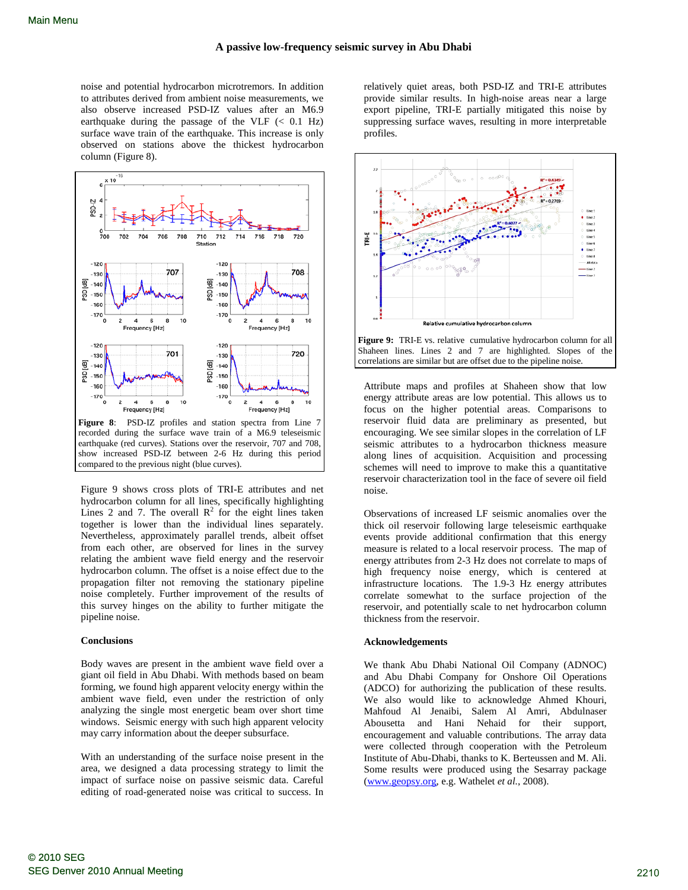noise and potential hydrocarbon microtremors. In addition to attributes derived from ambient noise measurements, we also observe increased PSD-IZ values after an M6.9 earthquake during the passage of the VLF  $(< 0.1$  Hz) surface wave train of the earthquake. This increase is only observed on stations above the thickest hydrocarbon column (Figure 8).

![](_page_3_Figure_3.jpeg)

recorded during the surface wave train of a M6.9 teleseismic earthquake (red curves). Stations over the reservoir, 707 and 708, show increased PSD-IZ between 2-6 Hz during this period compared to the previous night (blue curves).

Figure 9 shows cross plots of TRI-E attributes and net hydrocarbon column for all lines, specifically highlighting Lines 2 and 7. The overall  $\mathbb{R}^2$  for the eight lines taken together is lower than the individual lines separately. Nevertheless, approximately parallel trends, albeit offset from each other, are observed for lines in the survey relating the ambient wave field energy and the reservoir hydrocarbon column. The offset is a noise effect due to the propagation filter not removing the stationary pipeline noise completely. Further improvement of the results of this survey hinges on the ability to further mitigate the pipeline noise.

### **Conclusions**

Body waves are present in the ambient wave field over a giant oil field in Abu Dhabi. With methods based on beam forming, we found high apparent velocity energy within the ambient wave field, even under the restriction of only analyzing the single most energetic beam over short time windows. Seismic energy with such high apparent velocity may carry information about the deeper subsurface.

With an understanding of the surface noise present in the area, we designed a data processing strategy to limit the impact of surface noise on passive seismic data. Careful editing of road-generated noise was critical to success. In relatively quiet areas, both PSD-IZ and TRI-E attributes provide similar results. In high-noise areas near a large export pipeline, TRI-E partially mitigated this noise by suppressing surface waves, resulting in more interpretable profiles.

![](_page_3_Figure_10.jpeg)

**Figure 9:** TRI-E vs. relative cumulative hydrocarbon column for all Shaheen lines. Lines 2 and 7 are highlighted. Slopes of the correlations are similar but are offset due to the pipeline noise.

Attribute maps and profiles at Shaheen show that low energy attribute areas are low potential. This allows us to focus on the higher potential areas. Comparisons to reservoir fluid data are preliminary as presented, but encouraging. We see similar slopes in the correlation of LF seismic attributes to a hydrocarbon thickness measure along lines of acquisition. Acquisition and processing schemes will need to improve to make this a quantitative reservoir characterization tool in the face of severe oil field noise.

Observations of increased LF seismic anomalies over the thick oil reservoir following large teleseismic earthquake events provide additional confirmation that this energy measure is related to a local reservoir process. The map of energy attributes from 2-3 Hz does not correlate to maps of high frequency noise energy, which is centered at infrastructure locations. The 1.9-3 Hz energy attributes correlate somewhat to the surface projection of the reservoir, and potentially scale to net hydrocarbon column thickness from the reservoir.

### **Acknowledgements**

We thank Abu Dhabi National Oil Company (ADNOC) and Abu Dhabi Company for Onshore Oil Operations (ADCO) for authorizing the publication of these results. We also would like to acknowledge Ahmed Khouri, Mahfoud Al Jenaibi, Salem Al Amri, Abdulnaser Abousetta and Hani Nehaid for their support, encouragement and valuable contributions. The array data were collected through cooperation with the Petroleum Institute of Abu-Dhabi, thanks to K. Berteussen and M. Ali. Some results were produced using the Sesarray package [\(www.geopsy.org,](http://www.geopsy.org/) e.g. Wathelet *et al.*, 2008).